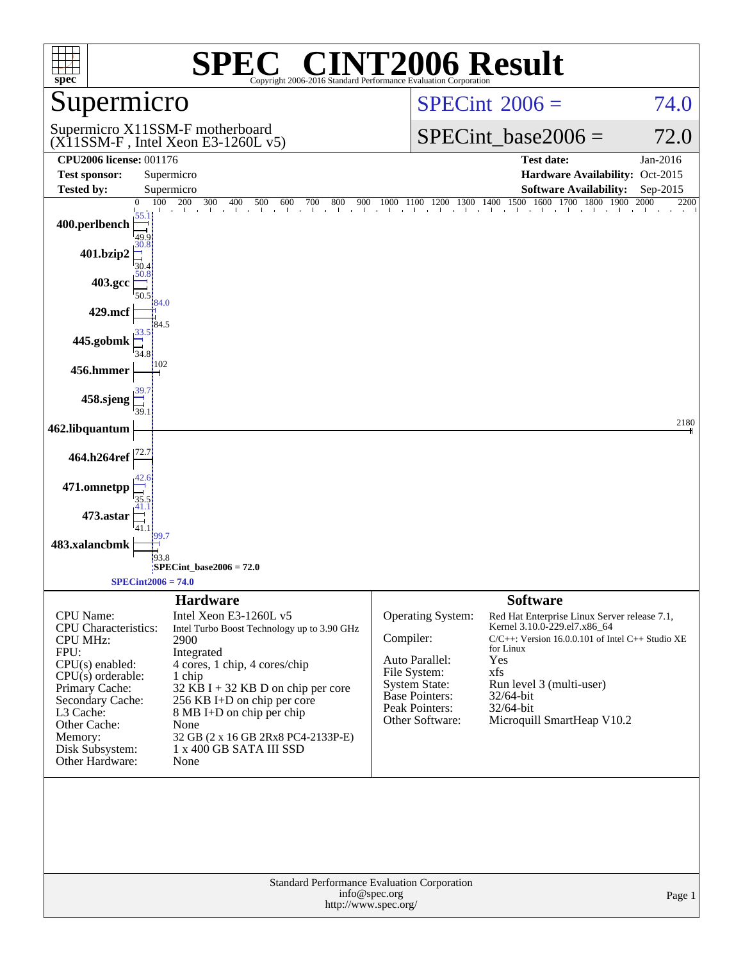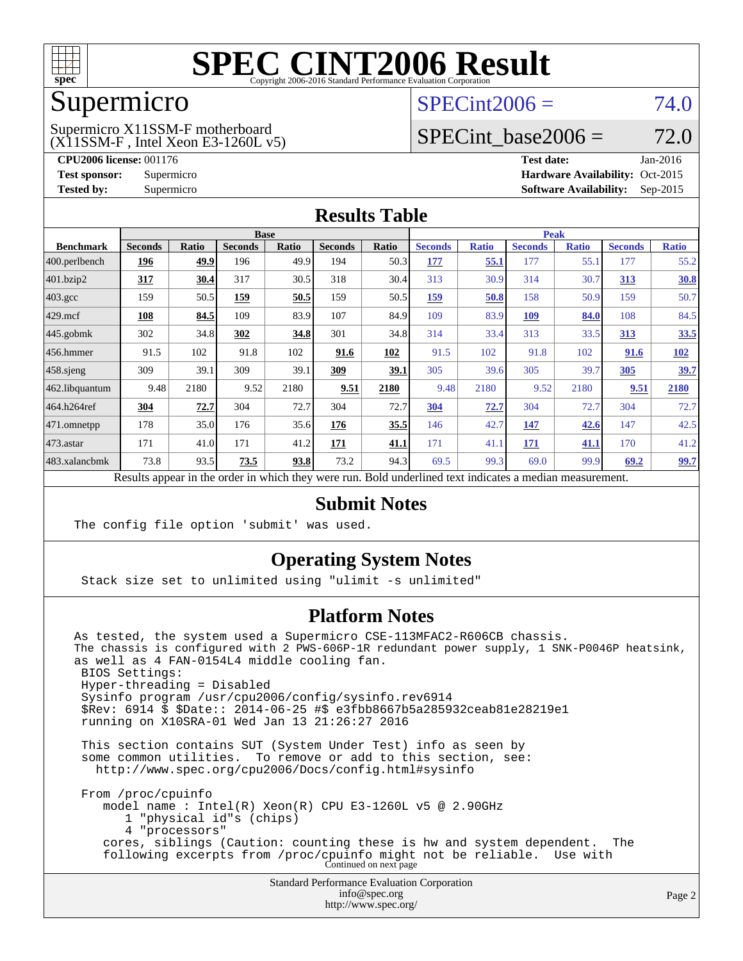

### Supermicro

### $SPECint2006 = 74.0$  $SPECint2006 = 74.0$

(X11SSM-F , Intel Xeon E3-1260L v5) Supermicro X11SSM-F motherboard

SPECint base2006 =  $72.0$ 

**[CPU2006 license:](http://www.spec.org/auto/cpu2006/Docs/result-fields.html#CPU2006license)** 001176 **[Test date:](http://www.spec.org/auto/cpu2006/Docs/result-fields.html#Testdate)** Jan-2016 **[Test sponsor:](http://www.spec.org/auto/cpu2006/Docs/result-fields.html#Testsponsor)** Supermicro Supermicro **[Hardware Availability:](http://www.spec.org/auto/cpu2006/Docs/result-fields.html#HardwareAvailability)** Oct-2015 **[Tested by:](http://www.spec.org/auto/cpu2006/Docs/result-fields.html#Testedby)** Supermicro **Supermicro [Software Availability:](http://www.spec.org/auto/cpu2006/Docs/result-fields.html#SoftwareAvailability)** Sep-2015

### **[Results Table](http://www.spec.org/auto/cpu2006/Docs/result-fields.html#ResultsTable)**

|                  | <b>Base</b>    |       |                |       |                |                           | <b>Peak</b>       |              |                |              |                |              |
|------------------|----------------|-------|----------------|-------|----------------|---------------------------|-------------------|--------------|----------------|--------------|----------------|--------------|
| <b>Benchmark</b> | <b>Seconds</b> | Ratio | <b>Seconds</b> | Ratio | <b>Seconds</b> | Ratio                     | <b>Seconds</b>    | <b>Ratio</b> | <b>Seconds</b> | <b>Ratio</b> | <b>Seconds</b> | <b>Ratio</b> |
| $400.$ perlbench | 196            | 49.9  | 196            | 49.9  | 194            | 50.3                      | 177               | 55.1         | 177            | 55.1         | 177            | 55.2         |
| 401.bzip2        | 317            | 30.4  | 317            | 30.5  | 318            | 30.4                      | 313               | 30.9         | 314            | 30.7         | 313            | 30.8         |
| $403.\text{gcc}$ | 159            | 50.5  | 159            | 50.5  | 159            | 50.5                      | 159               | 50.8         | 158            | 50.9         | 159            | 50.7         |
| $429$ .mcf       | 108            | 84.5  | 109            | 83.9  | 107            | 84.9                      | 109               | 83.9         | 109            | 84.0         | 108            | 84.5         |
| $445$ .gobmk     | 302            | 34.8  | 302            | 34.8  | 301            | 34.8                      | 314               | 33.4         | 313            | 33.5         | 313            | 33.5         |
| $456.$ hmmer     | 91.5           | 102   | 91.8           | 102   | 91.6           | 102                       | 91.5              | 102          | 91.8           | 102          | 91.6           | <b>102</b>   |
| $458$ .sjeng     | 309            | 39.1  | 309            | 39.1  | 309            | 39.1                      | 305               | 39.6         | 305            | 39.7         | 305            | 39.7         |
| 462.libquantum   | 9.48           | 2180  | 9.52           | 2180  | 9.51           | 2180                      | 9.48              | 2180         | 9.52           | 2180         | 9.51           | 2180         |
| 464.h264ref      | 304            | 72.7  | 304            | 72.7  | 304            | 72.7                      | 304               | 72.7         | 304            | 72.7         | 304            | 72.7         |
| $ 471$ .omnetpp  | 178            | 35.0  | 176            | 35.6  | 176            | 35.5                      | 146               | 42.7         | 147            | 42.6         | 147            | 42.5         |
| 473.astar        | 171            | 41.0  | 171            | 41.2  | <b>171</b>     | 41.1                      | 171               | 41.1         | 171            | 41.1         | 170            | 41.2         |
| 483.xalancbmk    | 73.8           | 93.5  | 73.5           | 93.8  | 73.2           | 94.3                      | 69.5              | 99.3         | 69.0           | 99.9         | 69.2           | 99.7         |
| D.               | $\mathbf{1}$ . |       |                | 1.1.1 |                | $\mathbf{r}$ $\mathbf{r}$ | $1 - 1$<br>$\sim$ | $\cdots$     | $\cdot$        |              |                |              |

Results appear in the [order in which they were run.](http://www.spec.org/auto/cpu2006/Docs/result-fields.html#RunOrder) Bold underlined text [indicates a median measurement.](http://www.spec.org/auto/cpu2006/Docs/result-fields.html#Median)

### **[Submit Notes](http://www.spec.org/auto/cpu2006/Docs/result-fields.html#SubmitNotes)**

The config file option 'submit' was used.

### **[Operating System Notes](http://www.spec.org/auto/cpu2006/Docs/result-fields.html#OperatingSystemNotes)**

Stack size set to unlimited using "ulimit -s unlimited"

### **[Platform Notes](http://www.spec.org/auto/cpu2006/Docs/result-fields.html#PlatformNotes)**

Standard Performance Evaluation Corporation As tested, the system used a Supermicro CSE-113MFAC2-R606CB chassis. The chassis is configured with 2 PWS-606P-1R redundant power supply, 1 SNK-P0046P heatsink, as well as 4 FAN-0154L4 middle cooling fan. BIOS Settings: Hyper-threading = Disabled Sysinfo program /usr/cpu2006/config/sysinfo.rev6914 \$Rev: 6914 \$ \$Date:: 2014-06-25 #\$ e3fbb8667b5a285932ceab81e28219e1 running on X10SRA-01 Wed Jan 13 21:26:27 2016 This section contains SUT (System Under Test) info as seen by some common utilities. To remove or add to this section, see: <http://www.spec.org/cpu2006/Docs/config.html#sysinfo> From /proc/cpuinfo model name : Intel(R) Xeon(R) CPU E3-1260L v5 @ 2.90GHz 1 "physical id"s (chips) 4 "processors" cores, siblings (Caution: counting these is hw and system dependent. The following excerpts from /proc/cpuinfo might not be reliable. Use with Continued on next page

[info@spec.org](mailto:info@spec.org) <http://www.spec.org/>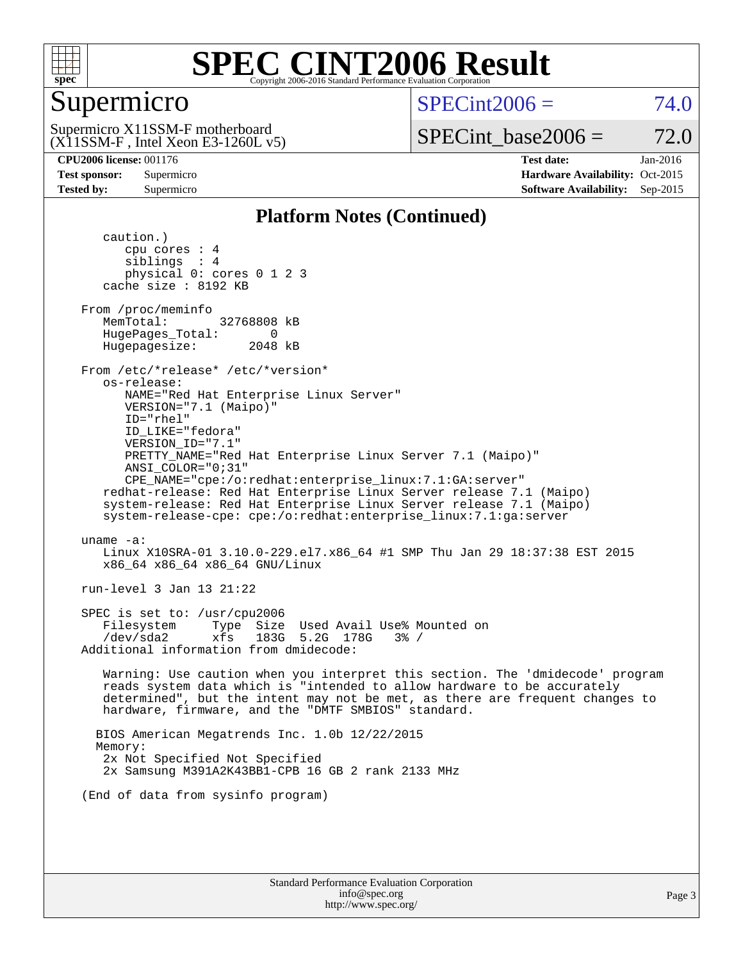

### Supermicro

 $SPECint2006 = 74.0$  $SPECint2006 = 74.0$ 

(X11SSM-F , Intel Xeon E3-1260L v5) Supermicro X11SSM-F motherboard

SPECint base2006 =  $72.0$ 

**[CPU2006 license:](http://www.spec.org/auto/cpu2006/Docs/result-fields.html#CPU2006license)** 001176 **[Test date:](http://www.spec.org/auto/cpu2006/Docs/result-fields.html#Testdate)** Jan-2016 **[Test sponsor:](http://www.spec.org/auto/cpu2006/Docs/result-fields.html#Testsponsor)** Supermicro Supermicro **[Hardware Availability:](http://www.spec.org/auto/cpu2006/Docs/result-fields.html#HardwareAvailability)** Oct-2015 **[Tested by:](http://www.spec.org/auto/cpu2006/Docs/result-fields.html#Testedby)** Supermicro **Supermicro [Software Availability:](http://www.spec.org/auto/cpu2006/Docs/result-fields.html#SoftwareAvailability)** Sep-2015

### **[Platform Notes \(Continued\)](http://www.spec.org/auto/cpu2006/Docs/result-fields.html#PlatformNotes)**

 caution.) cpu cores : 4 siblings : 4 physical 0: cores 0 1 2 3 cache size : 8192 KB From /proc/meminfo MemTotal: 32768808 kB HugePages\_Total: 0<br>Hugepagesize: 2048 kB Hugepagesize: From /etc/\*release\* /etc/\*version\* os-release: NAME="Red Hat Enterprise Linux Server" VERSION="7.1 (Maipo)" ID="rhel" ID\_LIKE="fedora" VERSION\_ID="7.1" PRETTY\_NAME="Red Hat Enterprise Linux Server 7.1 (Maipo)" ANSI\_COLOR="0;31" CPE\_NAME="cpe:/o:redhat:enterprise\_linux:7.1:GA:server" redhat-release: Red Hat Enterprise Linux Server release 7.1 (Maipo) system-release: Red Hat Enterprise Linux Server release 7.1 (Maipo) system-release-cpe: cpe:/o:redhat:enterprise\_linux:7.1:ga:server uname -a: Linux X10SRA-01 3.10.0-229.el7.x86\_64 #1 SMP Thu Jan 29 18:37:38 EST 2015 x86\_64 x86\_64 x86\_64 GNU/Linux run-level 3 Jan 13 21:22 SPEC is set to: /usr/cpu2006 Filesystem Type Size Used Avail Use% Mounted on /dev/sda2 xfs 183G 5.2G 178G 3% / Additional information from dmidecode: Warning: Use caution when you interpret this section. The 'dmidecode' program reads system data which is "intended to allow hardware to be accurately determined", but the intent may not be met, as there are frequent changes to hardware, firmware, and the "DMTF SMBIOS" standard. BIOS American Megatrends Inc. 1.0b 12/22/2015 Memory: 2x Not Specified Not Specified 2x Samsung M391A2K43BB1-CPB 16 GB 2 rank 2133 MHz (End of data from sysinfo program)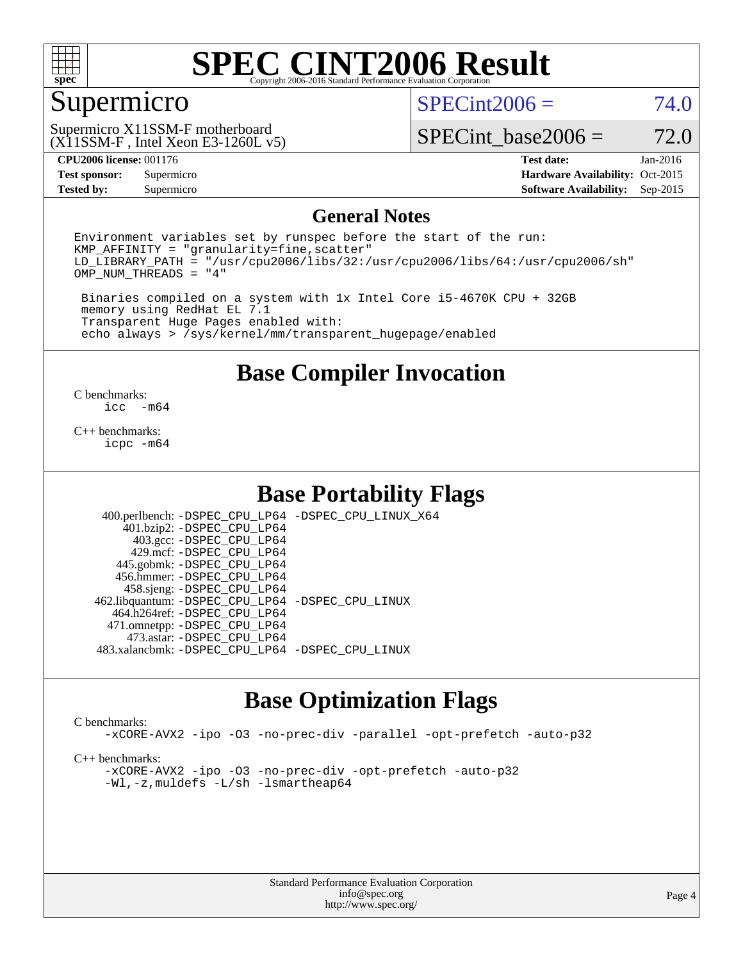

### Supermicro

 $SPECint2006 = 74.0$  $SPECint2006 = 74.0$ 

(X11SSM-F , Intel Xeon E3-1260L v5) Supermicro X11SSM-F motherboard

SPECint base2006 =  $72.0$ 

**[Tested by:](http://www.spec.org/auto/cpu2006/Docs/result-fields.html#Testedby)** Supermicro **Supermicro [Software Availability:](http://www.spec.org/auto/cpu2006/Docs/result-fields.html#SoftwareAvailability)** Sep-2015

**[CPU2006 license:](http://www.spec.org/auto/cpu2006/Docs/result-fields.html#CPU2006license)** 001176 **[Test date:](http://www.spec.org/auto/cpu2006/Docs/result-fields.html#Testdate)** Jan-2016 **[Test sponsor:](http://www.spec.org/auto/cpu2006/Docs/result-fields.html#Testsponsor)** Supermicro Supermicro **[Hardware Availability:](http://www.spec.org/auto/cpu2006/Docs/result-fields.html#HardwareAvailability)** Oct-2015

### **[General Notes](http://www.spec.org/auto/cpu2006/Docs/result-fields.html#GeneralNotes)**

Environment variables set by runspec before the start of the run:  $KMP$  AFFINITY = "granularity=fine, scatter" LD\_LIBRARY\_PATH = "/usr/cpu2006/libs/32:/usr/cpu2006/libs/64:/usr/cpu2006/sh" OMP\_NUM\_THREADS = "4"

 Binaries compiled on a system with 1x Intel Core i5-4670K CPU + 32GB memory using RedHat EL 7.1 Transparent Huge Pages enabled with: echo always > /sys/kernel/mm/transparent\_hugepage/enabled

**[Base Compiler Invocation](http://www.spec.org/auto/cpu2006/Docs/result-fields.html#BaseCompilerInvocation)**

 $\frac{C \text{ benchmarks:}}{C \text{ C}}$ -m64

[C++ benchmarks:](http://www.spec.org/auto/cpu2006/Docs/result-fields.html#CXXbenchmarks) [icpc -m64](http://www.spec.org/cpu2006/results/res2016q1/cpu2006-20160206-39003.flags.html#user_CXXbase_intel_icpc_64bit_fc66a5337ce925472a5c54ad6a0de310)

### **[Base Portability Flags](http://www.spec.org/auto/cpu2006/Docs/result-fields.html#BasePortabilityFlags)**

 400.perlbench: [-DSPEC\\_CPU\\_LP64](http://www.spec.org/cpu2006/results/res2016q1/cpu2006-20160206-39003.flags.html#b400.perlbench_basePORTABILITY_DSPEC_CPU_LP64) [-DSPEC\\_CPU\\_LINUX\\_X64](http://www.spec.org/cpu2006/results/res2016q1/cpu2006-20160206-39003.flags.html#b400.perlbench_baseCPORTABILITY_DSPEC_CPU_LINUX_X64) 401.bzip2: [-DSPEC\\_CPU\\_LP64](http://www.spec.org/cpu2006/results/res2016q1/cpu2006-20160206-39003.flags.html#suite_basePORTABILITY401_bzip2_DSPEC_CPU_LP64) 403.gcc: [-DSPEC\\_CPU\\_LP64](http://www.spec.org/cpu2006/results/res2016q1/cpu2006-20160206-39003.flags.html#suite_basePORTABILITY403_gcc_DSPEC_CPU_LP64) 429.mcf: [-DSPEC\\_CPU\\_LP64](http://www.spec.org/cpu2006/results/res2016q1/cpu2006-20160206-39003.flags.html#suite_basePORTABILITY429_mcf_DSPEC_CPU_LP64) 445.gobmk: [-DSPEC\\_CPU\\_LP64](http://www.spec.org/cpu2006/results/res2016q1/cpu2006-20160206-39003.flags.html#suite_basePORTABILITY445_gobmk_DSPEC_CPU_LP64) 456.hmmer: [-DSPEC\\_CPU\\_LP64](http://www.spec.org/cpu2006/results/res2016q1/cpu2006-20160206-39003.flags.html#suite_basePORTABILITY456_hmmer_DSPEC_CPU_LP64) 458.sjeng: [-DSPEC\\_CPU\\_LP64](http://www.spec.org/cpu2006/results/res2016q1/cpu2006-20160206-39003.flags.html#suite_basePORTABILITY458_sjeng_DSPEC_CPU_LP64) 462.libquantum: [-DSPEC\\_CPU\\_LP64](http://www.spec.org/cpu2006/results/res2016q1/cpu2006-20160206-39003.flags.html#suite_basePORTABILITY462_libquantum_DSPEC_CPU_LP64) [-DSPEC\\_CPU\\_LINUX](http://www.spec.org/cpu2006/results/res2016q1/cpu2006-20160206-39003.flags.html#b462.libquantum_baseCPORTABILITY_DSPEC_CPU_LINUX) 464.h264ref: [-DSPEC\\_CPU\\_LP64](http://www.spec.org/cpu2006/results/res2016q1/cpu2006-20160206-39003.flags.html#suite_basePORTABILITY464_h264ref_DSPEC_CPU_LP64) 471.omnetpp: [-DSPEC\\_CPU\\_LP64](http://www.spec.org/cpu2006/results/res2016q1/cpu2006-20160206-39003.flags.html#suite_basePORTABILITY471_omnetpp_DSPEC_CPU_LP64) 473.astar: [-DSPEC\\_CPU\\_LP64](http://www.spec.org/cpu2006/results/res2016q1/cpu2006-20160206-39003.flags.html#suite_basePORTABILITY473_astar_DSPEC_CPU_LP64) 483.xalancbmk: [-DSPEC\\_CPU\\_LP64](http://www.spec.org/cpu2006/results/res2016q1/cpu2006-20160206-39003.flags.html#suite_basePORTABILITY483_xalancbmk_DSPEC_CPU_LP64) [-DSPEC\\_CPU\\_LINUX](http://www.spec.org/cpu2006/results/res2016q1/cpu2006-20160206-39003.flags.html#b483.xalancbmk_baseCXXPORTABILITY_DSPEC_CPU_LINUX)

### **[Base Optimization Flags](http://www.spec.org/auto/cpu2006/Docs/result-fields.html#BaseOptimizationFlags)**

### [C benchmarks](http://www.spec.org/auto/cpu2006/Docs/result-fields.html#Cbenchmarks):

[-xCORE-AVX2](http://www.spec.org/cpu2006/results/res2016q1/cpu2006-20160206-39003.flags.html#user_CCbase_f-xAVX2_5f5fc0cbe2c9f62c816d3e45806c70d7) [-ipo](http://www.spec.org/cpu2006/results/res2016q1/cpu2006-20160206-39003.flags.html#user_CCbase_f-ipo) [-O3](http://www.spec.org/cpu2006/results/res2016q1/cpu2006-20160206-39003.flags.html#user_CCbase_f-O3) [-no-prec-div](http://www.spec.org/cpu2006/results/res2016q1/cpu2006-20160206-39003.flags.html#user_CCbase_f-no-prec-div) [-parallel](http://www.spec.org/cpu2006/results/res2016q1/cpu2006-20160206-39003.flags.html#user_CCbase_f-parallel) [-opt-prefetch](http://www.spec.org/cpu2006/results/res2016q1/cpu2006-20160206-39003.flags.html#user_CCbase_f-opt-prefetch) [-auto-p32](http://www.spec.org/cpu2006/results/res2016q1/cpu2006-20160206-39003.flags.html#user_CCbase_f-auto-p32)

[C++ benchmarks:](http://www.spec.org/auto/cpu2006/Docs/result-fields.html#CXXbenchmarks)

[-xCORE-AVX2](http://www.spec.org/cpu2006/results/res2016q1/cpu2006-20160206-39003.flags.html#user_CXXbase_f-xAVX2_5f5fc0cbe2c9f62c816d3e45806c70d7) [-ipo](http://www.spec.org/cpu2006/results/res2016q1/cpu2006-20160206-39003.flags.html#user_CXXbase_f-ipo) [-O3](http://www.spec.org/cpu2006/results/res2016q1/cpu2006-20160206-39003.flags.html#user_CXXbase_f-O3) [-no-prec-div](http://www.spec.org/cpu2006/results/res2016q1/cpu2006-20160206-39003.flags.html#user_CXXbase_f-no-prec-div) [-opt-prefetch](http://www.spec.org/cpu2006/results/res2016q1/cpu2006-20160206-39003.flags.html#user_CXXbase_f-opt-prefetch) [-auto-p32](http://www.spec.org/cpu2006/results/res2016q1/cpu2006-20160206-39003.flags.html#user_CXXbase_f-auto-p32) [-Wl,-z,muldefs](http://www.spec.org/cpu2006/results/res2016q1/cpu2006-20160206-39003.flags.html#user_CXXbase_link_force_multiple1_74079c344b956b9658436fd1b6dd3a8a) [-L/sh -lsmartheap64](http://www.spec.org/cpu2006/results/res2016q1/cpu2006-20160206-39003.flags.html#user_CXXbase_SmartHeap64_ed4ef857ce90951921efb0d91eb88472)

> Standard Performance Evaluation Corporation [info@spec.org](mailto:info@spec.org) <http://www.spec.org/>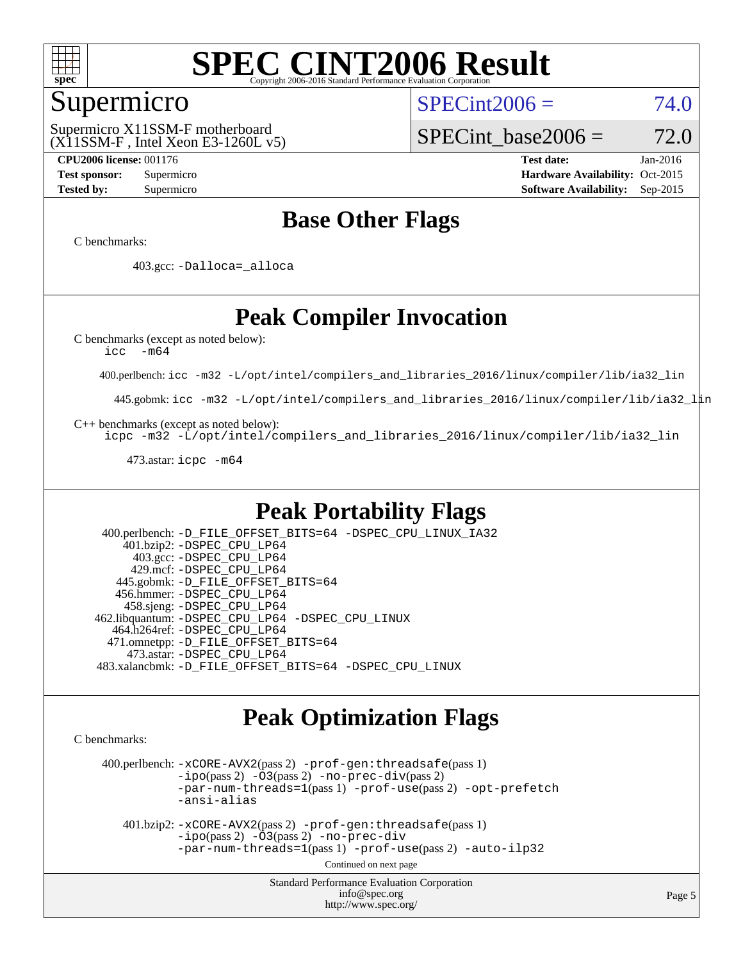

### Supermicro

 $SPECint2006 = 74.0$  $SPECint2006 = 74.0$ 

(X11SSM-F , Intel Xeon E3-1260L v5) Supermicro X11SSM-F motherboard

SPECint base2006 =  $72.0$ 

**[CPU2006 license:](http://www.spec.org/auto/cpu2006/Docs/result-fields.html#CPU2006license)** 001176 **[Test date:](http://www.spec.org/auto/cpu2006/Docs/result-fields.html#Testdate)** Jan-2016 **[Test sponsor:](http://www.spec.org/auto/cpu2006/Docs/result-fields.html#Testsponsor)** Supermicro Supermicro **[Hardware Availability:](http://www.spec.org/auto/cpu2006/Docs/result-fields.html#HardwareAvailability)** Oct-2015 **[Tested by:](http://www.spec.org/auto/cpu2006/Docs/result-fields.html#Testedby)** Supermicro **Supermicro [Software Availability:](http://www.spec.org/auto/cpu2006/Docs/result-fields.html#SoftwareAvailability)** Sep-2015

### **[Base Other Flags](http://www.spec.org/auto/cpu2006/Docs/result-fields.html#BaseOtherFlags)**

[C benchmarks](http://www.spec.org/auto/cpu2006/Docs/result-fields.html#Cbenchmarks):

403.gcc: [-Dalloca=\\_alloca](http://www.spec.org/cpu2006/results/res2016q1/cpu2006-20160206-39003.flags.html#b403.gcc_baseEXTRA_CFLAGS_Dalloca_be3056838c12de2578596ca5467af7f3)

### **[Peak Compiler Invocation](http://www.spec.org/auto/cpu2006/Docs/result-fields.html#PeakCompilerInvocation)**

[C benchmarks \(except as noted below\)](http://www.spec.org/auto/cpu2006/Docs/result-fields.html#Cbenchmarksexceptasnotedbelow):

[icc -m64](http://www.spec.org/cpu2006/results/res2016q1/cpu2006-20160206-39003.flags.html#user_CCpeak_intel_icc_64bit_f346026e86af2a669e726fe758c88044)

400.perlbench: [icc -m32 -L/opt/intel/compilers\\_and\\_libraries\\_2016/linux/compiler/lib/ia32\\_lin](http://www.spec.org/cpu2006/results/res2016q1/cpu2006-20160206-39003.flags.html#user_peakCCLD400_perlbench_intel_icc_e10256ba5924b668798078a321b0cb3f)

445.gobmk: [icc -m32 -L/opt/intel/compilers\\_and\\_libraries\\_2016/linux/compiler/lib/ia32\\_lin](http://www.spec.org/cpu2006/results/res2016q1/cpu2006-20160206-39003.flags.html#user_peakCCLD445_gobmk_intel_icc_e10256ba5924b668798078a321b0cb3f)

[C++ benchmarks \(except as noted below\):](http://www.spec.org/auto/cpu2006/Docs/result-fields.html#CXXbenchmarksexceptasnotedbelow)

[icpc -m32 -L/opt/intel/compilers\\_and\\_libraries\\_2016/linux/compiler/lib/ia32\\_lin](http://www.spec.org/cpu2006/results/res2016q1/cpu2006-20160206-39003.flags.html#user_CXXpeak_intel_icpc_b4f50a394bdb4597aa5879c16bc3f5c5)

473.astar: [icpc -m64](http://www.spec.org/cpu2006/results/res2016q1/cpu2006-20160206-39003.flags.html#user_peakCXXLD473_astar_intel_icpc_64bit_fc66a5337ce925472a5c54ad6a0de310)

### **[Peak Portability Flags](http://www.spec.org/auto/cpu2006/Docs/result-fields.html#PeakPortabilityFlags)**

 400.perlbench: [-D\\_FILE\\_OFFSET\\_BITS=64](http://www.spec.org/cpu2006/results/res2016q1/cpu2006-20160206-39003.flags.html#user_peakPORTABILITY400_perlbench_file_offset_bits_64_438cf9856305ebd76870a2c6dc2689ab) [-DSPEC\\_CPU\\_LINUX\\_IA32](http://www.spec.org/cpu2006/results/res2016q1/cpu2006-20160206-39003.flags.html#b400.perlbench_peakCPORTABILITY_DSPEC_CPU_LINUX_IA32) 401.bzip2: [-DSPEC\\_CPU\\_LP64](http://www.spec.org/cpu2006/results/res2016q1/cpu2006-20160206-39003.flags.html#suite_peakPORTABILITY401_bzip2_DSPEC_CPU_LP64) 403.gcc: [-DSPEC\\_CPU\\_LP64](http://www.spec.org/cpu2006/results/res2016q1/cpu2006-20160206-39003.flags.html#suite_peakPORTABILITY403_gcc_DSPEC_CPU_LP64) 429.mcf: [-DSPEC\\_CPU\\_LP64](http://www.spec.org/cpu2006/results/res2016q1/cpu2006-20160206-39003.flags.html#suite_peakPORTABILITY429_mcf_DSPEC_CPU_LP64) 445.gobmk: [-D\\_FILE\\_OFFSET\\_BITS=64](http://www.spec.org/cpu2006/results/res2016q1/cpu2006-20160206-39003.flags.html#user_peakPORTABILITY445_gobmk_file_offset_bits_64_438cf9856305ebd76870a2c6dc2689ab) 456.hmmer: [-DSPEC\\_CPU\\_LP64](http://www.spec.org/cpu2006/results/res2016q1/cpu2006-20160206-39003.flags.html#suite_peakPORTABILITY456_hmmer_DSPEC_CPU_LP64) 458.sjeng: [-DSPEC\\_CPU\\_LP64](http://www.spec.org/cpu2006/results/res2016q1/cpu2006-20160206-39003.flags.html#suite_peakPORTABILITY458_sjeng_DSPEC_CPU_LP64) 462.libquantum: [-DSPEC\\_CPU\\_LP64](http://www.spec.org/cpu2006/results/res2016q1/cpu2006-20160206-39003.flags.html#suite_peakPORTABILITY462_libquantum_DSPEC_CPU_LP64) [-DSPEC\\_CPU\\_LINUX](http://www.spec.org/cpu2006/results/res2016q1/cpu2006-20160206-39003.flags.html#b462.libquantum_peakCPORTABILITY_DSPEC_CPU_LINUX) 464.h264ref: [-DSPEC\\_CPU\\_LP64](http://www.spec.org/cpu2006/results/res2016q1/cpu2006-20160206-39003.flags.html#suite_peakPORTABILITY464_h264ref_DSPEC_CPU_LP64) 471.omnetpp: [-D\\_FILE\\_OFFSET\\_BITS=64](http://www.spec.org/cpu2006/results/res2016q1/cpu2006-20160206-39003.flags.html#user_peakPORTABILITY471_omnetpp_file_offset_bits_64_438cf9856305ebd76870a2c6dc2689ab) 473.astar: [-DSPEC\\_CPU\\_LP64](http://www.spec.org/cpu2006/results/res2016q1/cpu2006-20160206-39003.flags.html#suite_peakPORTABILITY473_astar_DSPEC_CPU_LP64) 483.xalancbmk: [-D\\_FILE\\_OFFSET\\_BITS=64](http://www.spec.org/cpu2006/results/res2016q1/cpu2006-20160206-39003.flags.html#user_peakPORTABILITY483_xalancbmk_file_offset_bits_64_438cf9856305ebd76870a2c6dc2689ab) [-DSPEC\\_CPU\\_LINUX](http://www.spec.org/cpu2006/results/res2016q1/cpu2006-20160206-39003.flags.html#b483.xalancbmk_peakCXXPORTABILITY_DSPEC_CPU_LINUX)

### **[Peak Optimization Flags](http://www.spec.org/auto/cpu2006/Docs/result-fields.html#PeakOptimizationFlags)**

[C benchmarks](http://www.spec.org/auto/cpu2006/Docs/result-fields.html#Cbenchmarks):

 400.perlbench: [-xCORE-AVX2](http://www.spec.org/cpu2006/results/res2016q1/cpu2006-20160206-39003.flags.html#user_peakPASS2_CFLAGSPASS2_LDCFLAGS400_perlbench_f-xAVX2_5f5fc0cbe2c9f62c816d3e45806c70d7)(pass 2) [-prof-gen:threadsafe](http://www.spec.org/cpu2006/results/res2016q1/cpu2006-20160206-39003.flags.html#user_peakPASS1_CFLAGSPASS1_LDCFLAGS400_perlbench_prof_gen_21a26eb79f378b550acd7bec9fe4467a)(pass 1)  $-i\text{po}(pass 2) -\tilde{O}3(pass 2)$  [-no-prec-div](http://www.spec.org/cpu2006/results/res2016q1/cpu2006-20160206-39003.flags.html#user_peakPASS2_CFLAGSPASS2_LDCFLAGS400_perlbench_f-no-prec-div)(pass 2) [-par-num-threads=1](http://www.spec.org/cpu2006/results/res2016q1/cpu2006-20160206-39003.flags.html#user_peakPASS1_CFLAGSPASS1_LDCFLAGS400_perlbench_par_num_threads_786a6ff141b4e9e90432e998842df6c2)(pass 1) [-prof-use](http://www.spec.org/cpu2006/results/res2016q1/cpu2006-20160206-39003.flags.html#user_peakPASS2_CFLAGSPASS2_LDCFLAGS400_perlbench_prof_use_bccf7792157ff70d64e32fe3e1250b55)(pass 2) [-opt-prefetch](http://www.spec.org/cpu2006/results/res2016q1/cpu2006-20160206-39003.flags.html#user_peakCOPTIMIZE400_perlbench_f-opt-prefetch) [-ansi-alias](http://www.spec.org/cpu2006/results/res2016q1/cpu2006-20160206-39003.flags.html#user_peakCOPTIMIZE400_perlbench_f-ansi-alias)

 401.bzip2: [-xCORE-AVX2](http://www.spec.org/cpu2006/results/res2016q1/cpu2006-20160206-39003.flags.html#user_peakPASS2_CFLAGSPASS2_LDCFLAGS401_bzip2_f-xAVX2_5f5fc0cbe2c9f62c816d3e45806c70d7)(pass 2) [-prof-gen:threadsafe](http://www.spec.org/cpu2006/results/res2016q1/cpu2006-20160206-39003.flags.html#user_peakPASS1_CFLAGSPASS1_LDCFLAGS401_bzip2_prof_gen_21a26eb79f378b550acd7bec9fe4467a)(pass 1)  $-i\text{po}(pass 2) -\overline{O}3(pass 2)$  [-no-prec-div](http://www.spec.org/cpu2006/results/res2016q1/cpu2006-20160206-39003.flags.html#user_peakCOPTIMIZEPASS2_CFLAGSPASS2_LDCFLAGS401_bzip2_f-no-prec-div) [-par-num-threads=1](http://www.spec.org/cpu2006/results/res2016q1/cpu2006-20160206-39003.flags.html#user_peakPASS1_CFLAGSPASS1_LDCFLAGS401_bzip2_par_num_threads_786a6ff141b4e9e90432e998842df6c2)(pass 1) [-prof-use](http://www.spec.org/cpu2006/results/res2016q1/cpu2006-20160206-39003.flags.html#user_peakPASS2_CFLAGSPASS2_LDCFLAGS401_bzip2_prof_use_bccf7792157ff70d64e32fe3e1250b55)(pass 2) [-auto-ilp32](http://www.spec.org/cpu2006/results/res2016q1/cpu2006-20160206-39003.flags.html#user_peakCOPTIMIZE401_bzip2_f-auto-ilp32)

Continued on next page

Standard Performance Evaluation Corporation [info@spec.org](mailto:info@spec.org) <http://www.spec.org/>

Page 5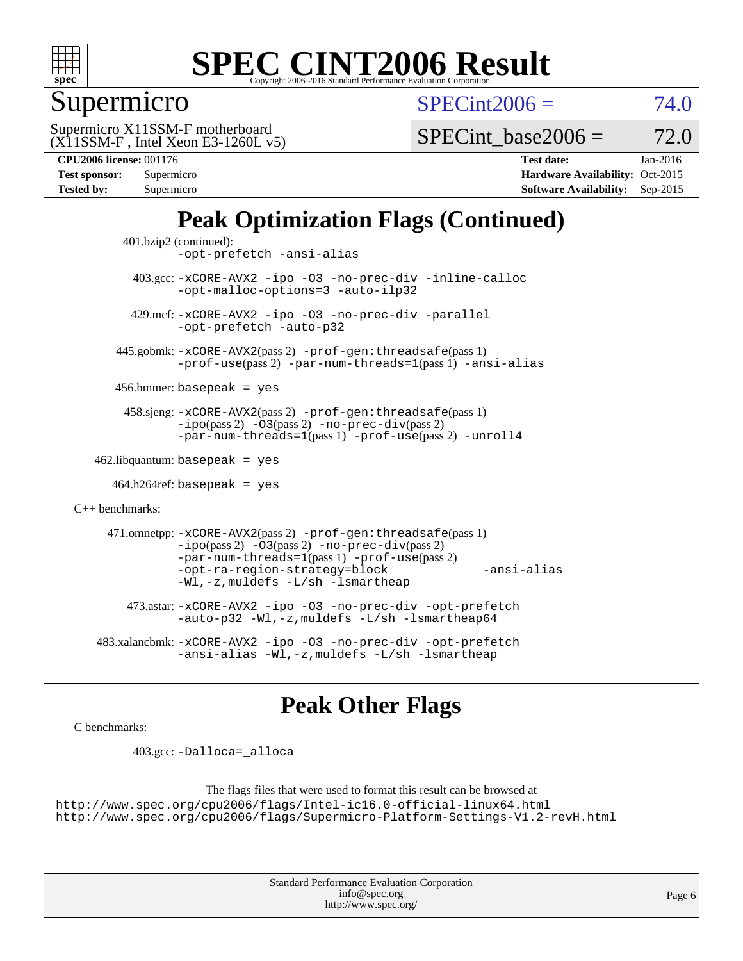

Supermicro

 $SPECint2006 = 74.0$  $SPECint2006 = 74.0$ 

(X11SSM-F , Intel Xeon E3-1260L v5) Supermicro X11SSM-F motherboard

SPECint base2006 =  $72.0$ 

**[CPU2006 license:](http://www.spec.org/auto/cpu2006/Docs/result-fields.html#CPU2006license)** 001176 **[Test date:](http://www.spec.org/auto/cpu2006/Docs/result-fields.html#Testdate)** Jan-2016 **[Test sponsor:](http://www.spec.org/auto/cpu2006/Docs/result-fields.html#Testsponsor)** Supermicro Supermicro **[Hardware Availability:](http://www.spec.org/auto/cpu2006/Docs/result-fields.html#HardwareAvailability)** Oct-2015 **[Tested by:](http://www.spec.org/auto/cpu2006/Docs/result-fields.html#Testedby)** Supermicro **Supermicro [Software Availability:](http://www.spec.org/auto/cpu2006/Docs/result-fields.html#SoftwareAvailability)** Sep-2015

## **[Peak Optimization Flags \(Continued\)](http://www.spec.org/auto/cpu2006/Docs/result-fields.html#PeakOptimizationFlags)**

```
 401.bzip2 (continued):
                -opt-prefetch -ansi-alias
          403.gcc: -xCORE-AVX2 -ipo -O3 -no-prec-div -inline-calloc
                -opt-malloc-options=3 -auto-ilp32
         429.mcf: -xCORE-AVX2 -ipo -O3 -no-prec-div -parallel
                -opt-prefetch -auto-p32
       445.gobmk: -xCORE-AVX2(pass 2) -prof-gen:threadsafe(pass 1)
                -prof-use(pass 2) -par-num-threads=1(pass 1) -ansi-alias
       456.hmmer: basepeak = yes
        458.sjeng: -xCORE-AVX2(pass 2) -prof-gen:threadsafe(pass 1)
                -i\text{po}(pass 2) -\tilde{O}3(pass 2)-no-prec-div(pass 2)
                -par-num-threads=1(pass 1) -prof-use(pass 2) -unroll4
   462.libquantum: basepeak = yes
     464.h264ref: basepeak = yes
C++ benchmarks: 
      471.omnetpp: -xCORE-AVX2(pass 2) -prof-gen:threadsafe(pass 1)
                -i\text{po}(pass 2) -03(pass 2) -no-prec-div(pass 2)-par-num-threads=1(pass 1) -prof-use(pass 2)
                -opt-ra-region-strategy=block -ansi-alias
                -Wl,-z,muldefs -L/sh -lsmartheap
         473.astar: -xCORE-AVX2 -ipo -O3 -no-prec-div -opt-prefetch
                -auto-p32 -Wl,-z,muldefs -L/sh -lsmartheap64
    483.xalancbmk: -xCORE-AVX2 -ipo -O3 -no-prec-div -opt-prefetch
                -ansi-alias -Wl,-z,muldefs -L/sh -lsmartheap
```
### **[Peak Other Flags](http://www.spec.org/auto/cpu2006/Docs/result-fields.html#PeakOtherFlags)**

[C benchmarks](http://www.spec.org/auto/cpu2006/Docs/result-fields.html#Cbenchmarks):

403.gcc: [-Dalloca=\\_alloca](http://www.spec.org/cpu2006/results/res2016q1/cpu2006-20160206-39003.flags.html#b403.gcc_peakEXTRA_CFLAGS_Dalloca_be3056838c12de2578596ca5467af7f3)

```
The flags files that were used to format this result can be browsed at
http://www.spec.org/cpu2006/flags/Intel-ic16.0-official-linux64.html
http://www.spec.org/cpu2006/flags/Supermicro-Platform-Settings-V1.2-revH.html
```
Standard Performance Evaluation Corporation [info@spec.org](mailto:info@spec.org) <http://www.spec.org/>